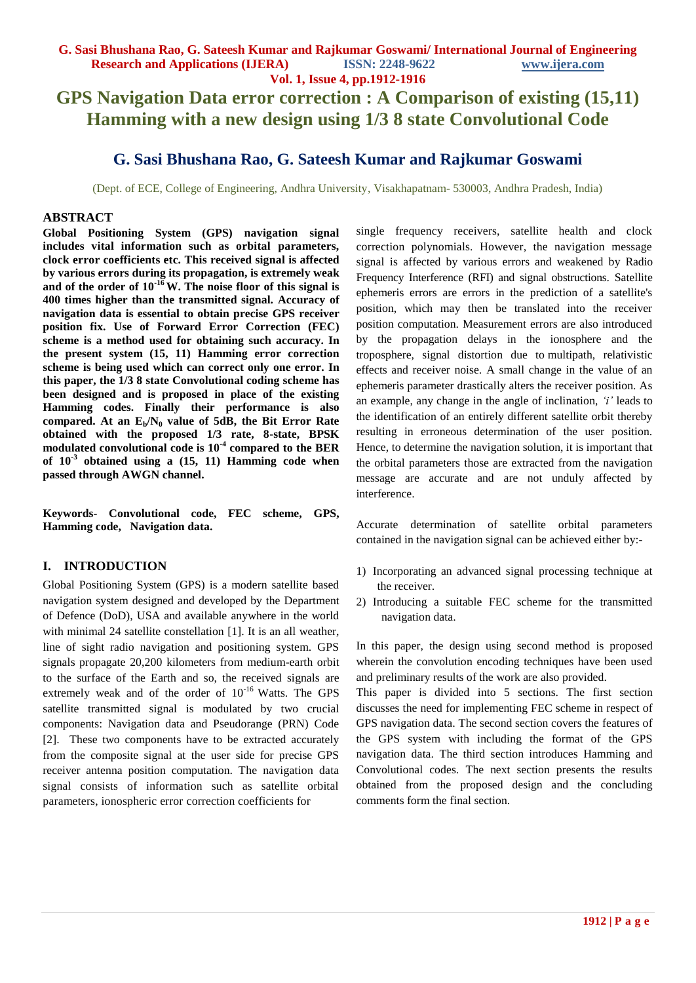# **GPS Navigation Data error correction : A Comparison of existing (15,11) Hamming with a new design using 1/3 8 state Convolutional Code**

# **G. Sasi Bhushana Rao, G. Sateesh Kumar and Rajkumar Goswami**

(Dept. of ECE, College of Engineering, Andhra University, Visakhapatnam- 530003, Andhra Pradesh, India)

#### **ABSTRACT**

**Global Positioning System (GPS) navigation signal includes vital information such as orbital parameters, clock error coefficients etc. This received signal is affected by various errors during its propagation, is extremely weak**  and of the order of  $10^{-16}$  W. The noise floor of this signal is **400 times higher than the transmitted signal. Accuracy of navigation data is essential to obtain precise GPS receiver position fix. Use of Forward Error Correction (FEC) scheme is a method used for obtaining such accuracy. In the present system (15, 11) Hamming error correction scheme is being used which can correct only one error. In this paper, the 1/3 8 state Convolutional coding scheme has been designed and is proposed in place of the existing Hamming codes. Finally their performance is also compared. At an Eb/N<sup>0</sup> value of 5dB, the Bit Error Rate obtained with the proposed 1/3 rate, 8-state, BPSK modulated convolutional code is 10-4 compared to the BER of 10-3 obtained using a (15, 11) Hamming code when passed through AWGN channel.**

**Keywords- Convolutional code, FEC scheme, GPS, Hamming code, Navigation data.**

#### **I. INTRODUCTION**

Global Positioning System (GPS) is a modern satellite based navigation system designed and developed by the Department of Defence (DoD), USA and available anywhere in the world with minimal 24 satellite constellation [1]. It is an all weather, line of sight radio navigation and positioning system. GPS signals propagate 20,200 kilometers from medium-earth orbit to the surface of the Earth and so, the received signals are extremely weak and of the order of  $10^{-16}$  Watts. The GPS satellite transmitted signal is modulated by two crucial components: Navigation data and Pseudorange (PRN) Code [2]. These two components have to be extracted accurately from the composite signal at the user side for precise GPS receiver antenna position computation. The navigation data signal consists of information such as satellite orbital parameters, ionospheric error correction coefficients for

single frequency receivers, satellite health and clock correction polynomials. However, the navigation message signal is affected by various errors and weakened by Radio Frequency Interference (RFI) and signal obstructions. Satellite ephemeris errors are errors in the prediction of a satellite's position, which may then be translated into the receiver position computation. Measurement errors are also introduced by the propagation delays in the ionosphere and the troposphere, signal distortion due to multipath, relativistic effects and receiver noise. A small change in the value of an ephemeris parameter drastically alters the receiver position. As an example, any change in the angle of inclination, *'i'* leads to the identification of an entirely different satellite orbit thereby resulting in erroneous determination of the user position. Hence, to determine the navigation solution, it is important that the orbital parameters those are extracted from the navigation message are accurate and are not unduly affected by interference.

Accurate determination of satellite orbital parameters contained in the navigation signal can be achieved either by:-

- 1) Incorporating an advanced signal processing technique at the receiver.
- 2) Introducing a suitable FEC scheme for the transmitted navigation data.

In this paper, the design using second method is proposed wherein the convolution encoding techniques have been used and preliminary results of the work are also provided.

This paper is divided into 5 sections. The first section discusses the need for implementing FEC scheme in respect of GPS navigation data. The second section covers the features of the GPS system with including the format of the GPS navigation data. The third section introduces Hamming and Convolutional codes. The next section presents the results obtained from the proposed design and the concluding comments form the final section.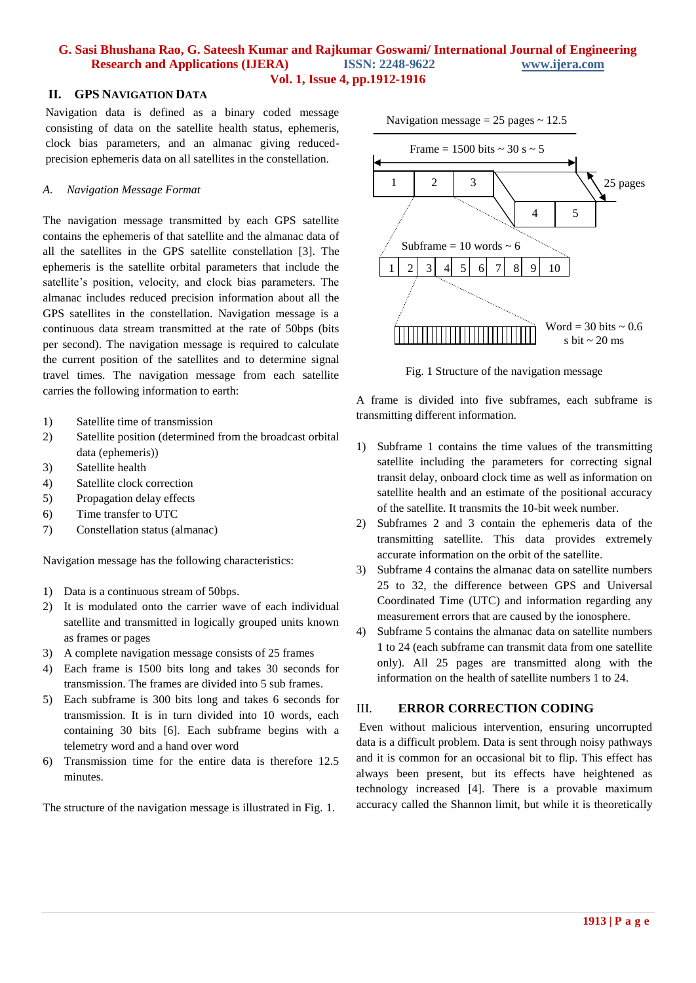### **G. Sasi Bhushana Rao, G. Sateesh Kumar and Rajkumar Goswami/ International Journal of Engineering Research and Applications (IJERA) ISSN: 2248-9622 www.ijera.com Vol. 1, Issue 4, pp.1912-1916**

#### **II. GPS NAVIGATION DATA**

Navigation data is defined as a binary coded message consisting of data on the satellite health status, ephemeris, clock bias parameters, and an almanac giving reducedprecision ephemeris data on all satellites in the constellation.

#### *A. Navigation Message Format*

The navigation message transmitted by each GPS satellite contains the ephemeris of that satellite and the almanac data of all the satellites in the GPS satellite constellation [3]. The ephemeris is the satellite orbital parameters that include the satellite's position, velocity, and clock bias parameters. The almanac includes reduced precision information about all the GPS satellites in the constellation. Navigation message is a continuous data stream transmitted at the rate of 50bps (bits per second). The navigation message is required to calculate the current position of the satellites and to determine signal travel times. The navigation message from each satellite carries the following information to earth:

- 1) Satellite time of transmission
- 2) Satellite position (determined from the broadcast orbital data (ephemeris))
- 3) Satellite health
- 4) Satellite clock correction
- 5) Propagation delay effects
- 6) Time transfer to UTC
- 7) Constellation status (almanac)

Navigation message has the following characteristics:

- 1) Data is a continuous stream of 50bps.
- 2) It is modulated onto the carrier wave of each individual satellite and transmitted in logically grouped units known as frames or pages
- 3) A complete navigation message consists of 25 frames
- 4) Each frame is 1500 bits long and takes 30 seconds for transmission. The frames are divided into 5 sub frames.
- 5) Each subframe is 300 bits long and takes 6 seconds for transmission. It is in turn divided into 10 words, each containing 30 bits [6]. Each subframe begins with a telemetry word and a hand over word
- 6) Transmission time for the entire data is therefore 12.5 minutes.

The structure of the navigation message is illustrated in Fig. 1.

Navigation message  $= 25$  pages  $\sim 12.5$ 



Fig. 1 Structure of the navigation message

A frame is divided into five subframes, each subframe is transmitting different information.

- 1) Subframe 1 contains the time values of the transmitting satellite including the parameters for correcting signal transit delay, onboard clock time as well as information on satellite health and an estimate of the positional accuracy of the satellite. It transmits the 10-bit week number.
- 2) Subframes 2 and 3 contain the ephemeris data of the transmitting satellite. This data provides extremely accurate information on the orbit of the satellite.
- 3) Subframe 4 contains the almanac data on satellite numbers 25 to 32, the difference between GPS and Universal Coordinated Time (UTC) and information regarding any measurement errors that are caused by the ionosphere.
- 4) Subframe 5 contains the almanac data on satellite numbers 1 to 24 (each subframe can transmit data from one satellite only). All 25 pages are transmitted along with the information on the health of satellite numbers 1 to 24.

### III. **ERROR CORRECTION CODING**

Even without malicious intervention, ensuring uncorrupted data is a difficult problem. Data is sent through noisy pathways and it is common for an occasional bit to flip. This effect has always been present, but its effects have heightened as technology increased [4]. There is a provable maximum accuracy called the Shannon limit, but while it is theoretically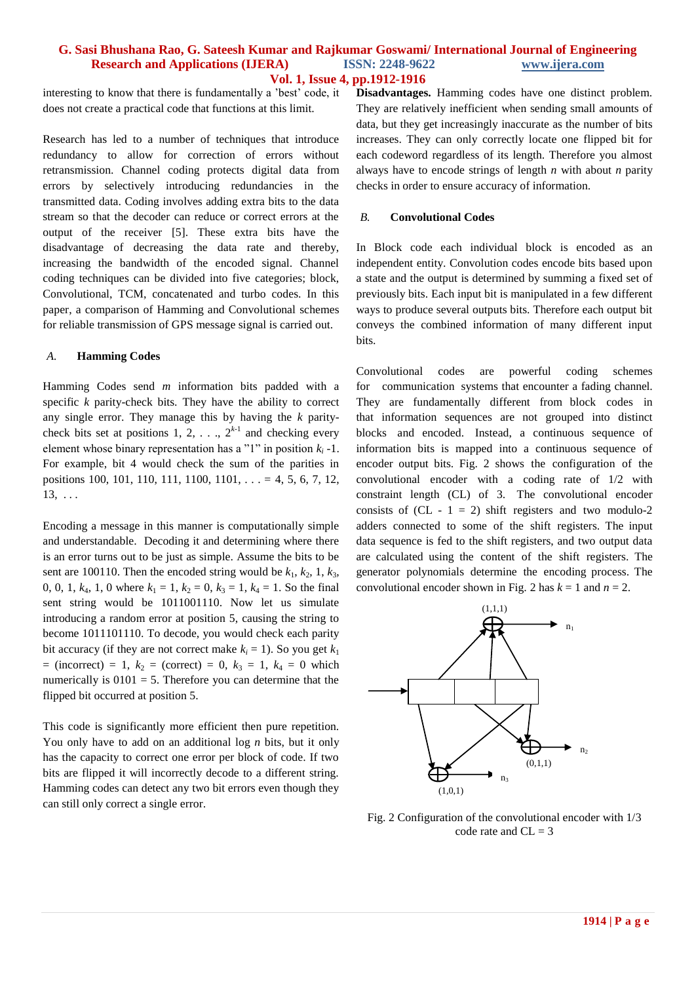#### **G. Sasi Bhushana Rao, G. Sateesh Kumar and Rajkumar Goswami/ International Journal of Engineering Research and Applications (IJERA) ISSN: 2248-9622 www.ijera.com Vol. 1, Issue 4, pp.1912-1916**

interesting to know that there is fundamentally a 'best' code, it does not create a practical code that functions at this limit.

Research has led to a number of techniques that introduce redundancy to allow for correction of errors without retransmission. Channel coding protects digital data from errors by selectively introducing redundancies in the transmitted data. Coding involves adding extra bits to the data stream so that the decoder can reduce or correct errors at the output of the receiver [5]. These extra bits have the disadvantage of decreasing the data rate and thereby, increasing the bandwidth of the encoded signal. Channel coding techniques can be divided into five categories; block, Convolutional, TCM, concatenated and turbo codes. In this paper, a comparison of Hamming and Convolutional schemes for reliable transmission of GPS message signal is carried out.

#### *A.* **Hamming Codes**

Hamming Codes send *m* information bits padded with a specific *k* parity-check bits. They have the ability to correct any single error. They manage this by having the *k* paritycheck bits set at positions 1, 2, . . .,  $2^{k-1}$  and checking every element whose binary representation has a "1" in position *k<sup>i</sup> -*1. For example, bit 4 would check the sum of the parities in positions 100, 101, 110, 111, 1100, 1101, . . . = 4, 5, 6, 7, 12,  $13, \ldots$ 

Encoding a message in this manner is computationally simple and understandable. Decoding it and determining where there is an error turns out to be just as simple. Assume the bits to be sent are 100110. Then the encoded string would be  $k_1$ ,  $k_2$ , 1,  $k_3$ , 0, 0, 1,  $k_4$ , 1, 0 where  $k_1 = 1$ ,  $k_2 = 0$ ,  $k_3 = 1$ ,  $k_4 = 1$ . So the final sent string would be 1011001110. Now let us simulate introducing a random error at position 5, causing the string to become 1011101110. To decode, you would check each parity bit accuracy (if they are not correct make  $k_i = 1$ ). So you get  $k_1$  $=$  (incorrect)  $= 1, k_2 =$  (correct)  $= 0, k_3 = 1, k_4 = 0$  which numerically is  $0101 = 5$ . Therefore you can determine that the flipped bit occurred at position 5.

This code is significantly more efficient then pure repetition. You only have to add on an additional log *n* bits, but it only has the capacity to correct one error per block of code. If two bits are flipped it will incorrectly decode to a different string. Hamming codes can detect any two bit errors even though they can still only correct a single error.

**Disadvantages.** Hamming codes have one distinct problem. They are relatively inefficient when sending small amounts of data, but they get increasingly inaccurate as the number of bits increases. They can only correctly locate one flipped bit for each codeword regardless of its length. Therefore you almost always have to encode strings of length *n* with about *n* parity checks in order to ensure accuracy of information.

#### *B.* **Convolutional Codes**

In Block code each individual block is encoded as an independent entity. Convolution codes encode bits based upon a state and the output is determined by summing a fixed set of previously bits. Each input bit is manipulated in a few different ways to produce several outputs bits. Therefore each output bit conveys the combined information of many different input bits.

Convolutional codes are powerful coding schemes for communication systems that encounter a fading channel. They are fundamentally different from block codes in that information sequences are not grouped into distinct blocks and encoded. Instead, a continuous sequence of information bits is mapped into a continuous sequence of encoder output bits. Fig. 2 shows the configuration of the convolutional encoder with a coding rate of 1/2 with constraint length (CL) of 3. The convolutional encoder consists of  $(CL - 1 = 2)$  shift registers and two modulo-2 adders connected to some of the shift registers. The input data sequence is fed to the shift registers, and two output data are calculated using the content of the shift registers. The generator polynomials determine the encoding process. The convolutional encoder shown in Fig. 2 has  $k = 1$  and  $n = 2$ .



Fig. 2 Configuration of the convolutional encoder with 1/3 code rate and  $CL = 3$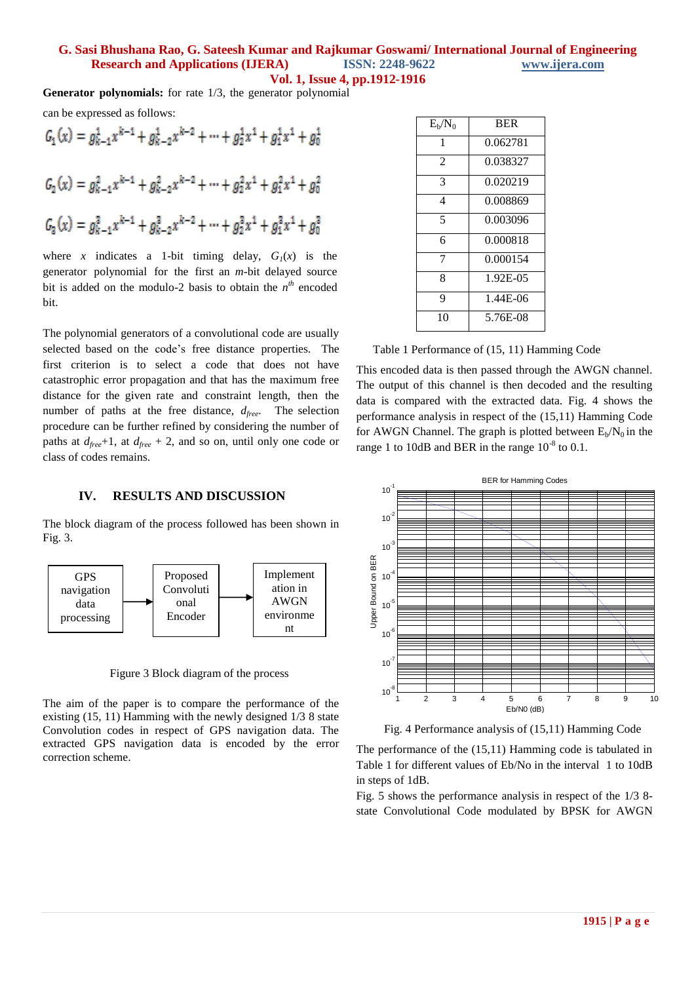# **G. Sasi Bhushana Rao, G. Sateesh Kumar and Rajkumar Goswami/ International Journal of Engineering Research and Applications (IJERA) ISSN: 2248-9622 www.ijera.com**

**Vol. 1, Issue 4, pp.1912-1916**

**Generator polynomials:** for rate 1/3, the generator polynomial

can be expressed as follows:

$$
G_1(x) = g_{k-1}^1 x^{k-1} + g_{k-2}^1 x^{k-2} + \dots + g_2^1 x^1 + g_1^1 x^1 + g_0^1
$$
  

$$
G_2(x) = g_{k-1}^2 x^{k-1} + g_{k-2}^2 x^{k-2} + \dots + g_2^2 x^1 + g_1^2 x^1 + g_0^2
$$
  

$$
G_3(x) = g_{k-1}^3 x^{k-1} + g_{k-2}^3 x^{k-2} + \dots + g_2^3 x^1 + g_1^3 x^1 + g_0^3
$$

where *x* indicates a 1-bit timing delay,  $G_1(x)$  is the generator polynomial for the first an *m*-bit delayed source bit is added on the modulo-2 basis to obtain the  $n^{th}$  encoded bit.

The polynomial generators of a convolutional code are usually selected based on the code's free distance properties. The first criterion is to select a code that does not have catastrophic error propagation and that has the maximum free distance for the given rate and constraint length, then the number of paths at the free distance, *dfree*. The selection procedure can be further refined by considering the number of paths at  $d_{free}+1$ , at  $d_{free}+2$ , and so on, until only one code or class of codes remains.

#### **IV. RESULTS AND DISCUSSION**

The block diagram of the process followed has been shown in Fig. 3.



Figure 3 Block diagram of the process

The aim of the paper is to compare the performance of the existing (15, 11) Hamming with the newly designed 1/3 8 state Convolution codes in respect of GPS navigation data. The extracted GPS navigation data is encoded by the error correction scheme.

| $E_b/N_0$      | <b>BER</b> |
|----------------|------------|
| 1              | 0.062781   |
| $\mathfrak{D}$ | 0.038327   |
| 3              | 0.020219   |
| 4              | 0.008869   |
| 5              | 0.003096   |
| 6              | 0.000818   |
| 7              | 0.000154   |
| 8              | 1.92E-05   |
| 9              | 1.44E-06   |
| 10             | 5.76E-08   |

Table 1 Performance of (15, 11) Hamming Code

This encoded data is then passed through the AWGN channel. The output of this channel is then decoded and the resulting data is compared with the extracted data. Fig. 4 shows the performance analysis in respect of the (15,11) Hamming Code for AWGN Channel. The graph is plotted between  $E_b/N_0$  in the range 1 to 10dB and BER in the range  $10^{-8}$  to 0.1.



Fig. 4 Performance analysis of (15,11) Hamming Code

The performance of the (15,11) Hamming code is tabulated in Table 1 for different values of Eb/No in the interval 1 to 10dB in steps of 1dB.

Fig. 5 shows the performance analysis in respect of the 1/3 8 state Convolutional Code modulated by BPSK for AWGN